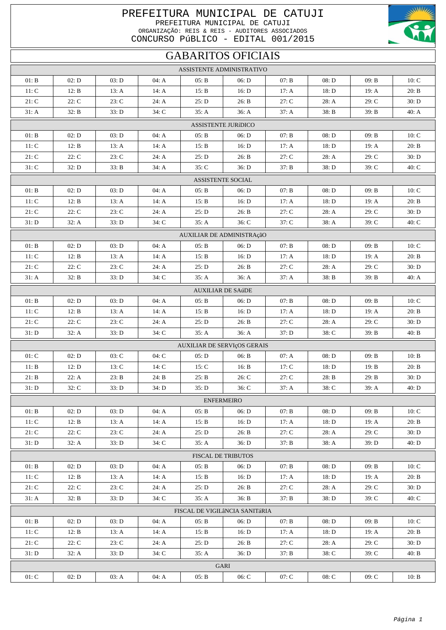## PREFEITURA MUNICIPAL DE CATUJI PREFEITURA MUNICIPAL DE CATUJI ORGANIZAÇÃO: REIS & REIS - AUDITORES ASSOCIADOS

CONCURSO PÚBLICO - EDITAL 001/2015



## **GABARITOS OFICIAIS**

| ASSISTENTE ADMINISTRATIVO |                                |                |                |                |                             |                        |                |                |                |  |  |
|---------------------------|--------------------------------|----------------|----------------|----------------|-----------------------------|------------------------|----------------|----------------|----------------|--|--|
| 01: B                     | 02: D                          | 03: D          | 04: A          | 05: B          | 06: D                       | 07: B                  | 08: D          | 09: B          | 10: C          |  |  |
| 11: C                     | 12: B                          | 13: A          | 14: A          | 15: B          | 16: D                       | 17: A                  | 18: D          | 19: A          | 20: B          |  |  |
| 21: C                     | 22: C                          | 23: C          | 24: A          | 25: D          | 26: B                       | 27: C                  | 28: A          | 29: C          | 30: D          |  |  |
| 31: A                     | 32: B                          | 33: D          | 34: C          | 35: A          | 36: A                       | 37: A                  | 38: B          | 39: B          | 40: A          |  |  |
|                           | <b>ASSISTENTE JURÍDICO</b>     |                |                |                |                             |                        |                |                |                |  |  |
| 01: B                     | 02: D                          | 03: D          | 04: A          | 05: B          | 06: D                       | 07: B                  | 08: D          | 09: B          | 10: C          |  |  |
| 11: C                     | 12: B                          | 13: A          | 14: A          | 15: B          | 16: D                       | 17: A                  | 18: D          | 19: A          | 20: B          |  |  |
| 21: C                     | 22: C                          | 23: C          | 24: A          | 25: D          | 26: B                       | 27: C                  | 28: A          | 29: C          | 30: D          |  |  |
| $31:$ $\rm C$             | 32: D                          | 33: B          | 34: A          | 35: C          | 36: D                       | 37: B                  | 38: D          | 39: C          | 40: C          |  |  |
| ASSISTENTE SOCIAL         |                                |                |                |                |                             |                        |                |                |                |  |  |
| 01: B                     | 02: D                          | 03: D          | 04: A          | 05: B          | 06: D                       | 07: B                  | 08: D          | 09: B          | 10: C          |  |  |
| 11: C                     | 12: B                          | 13: A          | 14: $A$        | 15: B          | 16: D                       | 17: A                  | 18: D          | 19: A          | 20: B          |  |  |
| $21:$ $\bf C$             | 22: C                          | 23: C          | 24: A          | 25: D          | 26: B                       | 27: C                  | 28: A          | 29: C          | 30: D          |  |  |
| 31: D                     | 32: A                          | 33: D          | 34: C          | 35: A          | 36: C                       | 37: C                  | 38: A          | 39: C          | 40: C          |  |  |
| AUXILIAR DE ADMINISTRAçãO |                                |                |                |                |                             |                        |                |                |                |  |  |
| 01: B                     | 02: D                          | 03: D          | 04: A          | 05: B          | 06: D                       | 07: B                  | 08: D          | 09: B          | 10: C          |  |  |
| 11: C                     | 12: B                          | 13: A          | 14: A          | 15: B          | 16: D                       | 17: A                  | 18: D          | 19: A          | 20: B          |  |  |
| $21:$ $\mathbf C$         | 22: C                          | 23: C          | 24: A          | 25: D          | 26: B                       | $27: \mathbf{C}$       | $28: A$        | 29: C          | 30: D          |  |  |
| 31: A                     | 32: B                          | 33: D          | 34: C          | 35: A          | 36: A                       | 37: A                  | 38: B          | 39: B          | 40: A          |  |  |
|                           |                                |                |                |                | <b>AUXILIAR DE SAúDE</b>    |                        |                |                |                |  |  |
| $01: \mathbf{B}$          | 02: D                          | 03: D          | 04: A          | 05: B          | 06: D                       | 07: B                  | 08: D          | 09: B          | 10: C          |  |  |
| $11:$ $\mathbf C$         | 12: B                          | 13: A          | 14: A          | 15: B          | 16: D                       | 17: A                  | 18: D          | 19: A          | 20: B          |  |  |
| 21: C                     | 22: C                          | 23: C          | 24: A          | 25: D          | 26: B                       | 27: C                  | 28: A          | 29: C          | 30: D          |  |  |
| 31: D                     | 32: A                          | 33: D          | $34:$ C        | 35: A          | 36: A                       | 37: D                  | 38: C          | 39: B          | 40: B          |  |  |
|                           |                                |                |                |                | AUXILIAR DE SERVIçOS GERAIS |                        |                |                |                |  |  |
| 01: C                     | 02: D                          | 03: C          | 04: C          | 05: D          | 06: B                       | 07: A                  | 08: D          | 09: B          | 10: B          |  |  |
| 11: B<br>21: B            | 12: D<br>22: A                 | 13: C<br>23: B | 14: C<br>24: B | 15: C<br>25: B | 16: B<br>26: C              | 17: C<br>$27:$ $\bf C$ | 18: D<br>28: B | 19: B<br>29: B | 20: B<br>30: D |  |  |
| 31: D                     | 32: C                          | 33: D          | 34: D          | 35: D          | 36: C                       | 37: A                  | 38: C          | 39: A          | 40: D          |  |  |
|                           |                                |                |                |                |                             |                        |                |                |                |  |  |
| 01: B                     | 02: D                          | 03: D          | 04: A          | 05: B          | <b>ENFERMEIRO</b><br>06: D  | 07: B                  | 08: D          | 09: B          | 10: C          |  |  |
| 11: C                     | 12: B                          | 13: A          | 14: A          | 15: B          | 16: D                       | 17: A                  | 18: D          | 19: A          | 20: B          |  |  |
| 21: C                     | 22: C                          | 23: C          | 24: A          | 25: D          | 26: B                       | 27: C                  | 28: A          | 29: C          | 30: D          |  |  |
| 31: D                     | 32: A                          | 33: D          | $34:$ C        | 35: A          | 36: D                       | 37: B                  | 38: A          | 39: D          | 40: D          |  |  |
|                           |                                |                |                |                | <b>FISCAL DE TRIBUTOS</b>   |                        |                |                |                |  |  |
| 01: B                     | 02: D                          | 03: D          | 04: A          | 05: B          | 06: D                       | 07: B                  | 08: D          | 09: B          | 10: C          |  |  |
| 11: C                     | 12: B                          | 13: $A$        | 14: A          | 15: B          | 16: D                       | 17: A                  | 18: D          | 19: A          | 20: B          |  |  |
| 21: C                     | 22: C                          | 23: C          | 24: A          | 25: D          | 26: B                       | 27: C                  | 28: A          | 29: C          | 30: D          |  |  |
| 31: A                     | 32: B                          | 33: D          | $34:$ C        | 35: A          | 36: B                       | 37: B                  | 38: D          | 39: C          | 40: C          |  |  |
|                           | FISCAL DE VIGILÂNCIA SANITÁRIA |                |                |                |                             |                        |                |                |                |  |  |
| 01: B                     | 02: D                          | 03: D          | 04: A          | 05: B          | 06: D                       | 07: B                  | 08: D          | 09: B          | 10: C          |  |  |
| 11: C                     | 12: B                          | 13: $A$        | 14: A          | 15: B          | 16: D                       | 17: A                  | 18: D          | 19: A          | 20: B          |  |  |
| 21: C                     | 22: C                          | 23: C          | 24: A          | 25: D          | 26: B                       | 27: C                  | 28: A          | 29: C          | 30: D          |  |  |
| 31: D                     | 32: A                          | 33: D          | $34:$ C        | 35: A          | 36: D                       | 37: B                  | $38:$ C        | 39: C          | 40: B          |  |  |
|                           | <b>GARI</b>                    |                |                |                |                             |                        |                |                |                |  |  |
| 01: C                     | 02: D                          | 03: A          | 04: A          | 05: B          | 06: C                       | 07:C                   | 08:C           | 09: C          | 10: B          |  |  |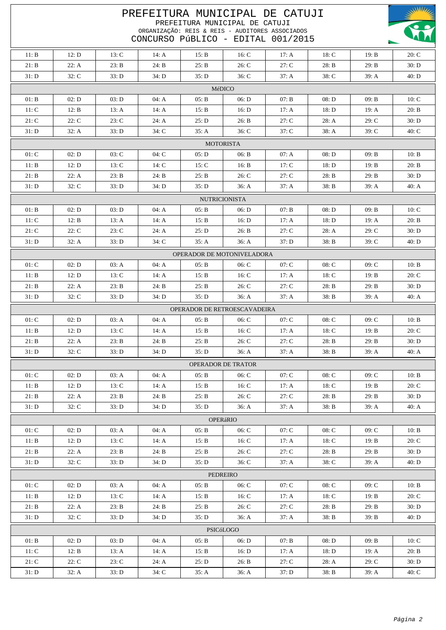| PREFEITURA MUNICIPAL DE CATUJI<br>PREFEITURA MUNICIPAL DE CATUJI<br>ORGANIZAÇÃO: REIS & REIS - AUDITORES ASSOCIADOS<br>CONCURSO PÚBLICO - EDITAL 001/2015 |                            |         |         |       |                              |       |         |       |         |  |
|-----------------------------------------------------------------------------------------------------------------------------------------------------------|----------------------------|---------|---------|-------|------------------------------|-------|---------|-------|---------|--|
| 11: B                                                                                                                                                     | 12: D                      | 13: C   | 14: $A$ | 15: B | 16: C                        | 17: A | 18: C   | 19: B | 20: C   |  |
| 21: B                                                                                                                                                     | 22: A                      | 23: B   | 24: B   | 25: B | 26: C                        | 27: C | 28: B   | 29: B | 30: D   |  |
| 31: D                                                                                                                                                     | 32: C                      | 33: D   | 34: D   | 35: D | $36:$ C                      | 37: A | $38:$ C | 39: A | 40: D   |  |
|                                                                                                                                                           |                            |         |         |       | MéDICO                       |       |         |       |         |  |
| 01: B                                                                                                                                                     | 02: D                      | 03: D   | 04: A   | 05: B | 06: D                        | 07: B | 08: D   | 09: B | 10: C   |  |
| 11: C                                                                                                                                                     | 12: B                      | 13: A   | 14: $A$ | 15: B | 16: D                        | 17: A | 18: D   | 19: A | 20: B   |  |
| 21: C                                                                                                                                                     | 22: C                      | 23: C   | 24: A   | 25: D | 26: B                        | 27: C | 28: A   | 29: C | 30: D   |  |
|                                                                                                                                                           |                            |         |         |       |                              |       |         |       |         |  |
| 31: D<br>32: A<br>33: D<br>$34:$ C<br>35: A<br>$36:$ C<br>$37:$ C<br>38: A<br>39: C<br>$40:$ C                                                            |                            |         |         |       |                              |       |         |       |         |  |
|                                                                                                                                                           | <b>MOTORISTA</b>           |         |         |       |                              |       |         |       |         |  |
| 01: C                                                                                                                                                     | 02: D                      | 03: C   | 04: C   | 05: D | 06: B                        | 07: A | 08: D   | 09: B | 10: B   |  |
| 11: B                                                                                                                                                     | 12: D                      | 13: C   | 14: C   | 15: C | 16: B                        | 17: C | 18: D   | 19: B | 20: B   |  |
| 21: B                                                                                                                                                     | 22: A                      | 23: B   | 24: B   | 25: B | 26: C                        | 27: C | 28: B   | 29: B | 30: D   |  |
| 31: D                                                                                                                                                     | 32: C                      | 33: D   | 34: D   | 35: D | 36: A                        | 37: A | 38: B   | 39: A | 40: A   |  |
|                                                                                                                                                           |                            |         |         |       | <b>NUTRICIONISTA</b>         |       |         |       |         |  |
| 01: B                                                                                                                                                     | 02: D                      | 03: D   | 04: A   | 05: B | 06: D                        | 07: B | 08: D   | 09: B | 10: C   |  |
| 11: C                                                                                                                                                     | 12: B                      | 13: A   | 14: A   | 15: B | 16: D                        | 17: A | 18: D   | 19: A | 20: B   |  |
| 21: C                                                                                                                                                     | 22: C                      | 23: C   | 24: A   | 25: D | 26: B                        | 27: C | 28: A   | 29: C | 30: D   |  |
| 31: D                                                                                                                                                     | 32: A                      | 33: D   | $34:$ C | 35: A | 36: A                        | 37: D | 38: B   | 39: C | 40: D   |  |
|                                                                                                                                                           | OPERADOR DE MOTONIVELADORA |         |         |       |                              |       |         |       |         |  |
| 01: C                                                                                                                                                     | 02: D                      | 03: A   | 04: A   | 05: B | 06: C                        | 07: C | $08:$ C | 09: C | 10: B   |  |
| 11: B                                                                                                                                                     | 12: D                      | 13: C   | 14: A   | 15: B | 16: $C$                      | 17: A | 18: C   | 19: B | 20: C   |  |
| 21: B                                                                                                                                                     | 22: A                      | 23: B   | 24: B   | 25: B | 26: C                        | 27: C | 28: B   | 29: B | 30: D   |  |
| 31: D                                                                                                                                                     | 32: C                      | 33: D   | 34: D   | 35: D | 36: A                        | 37: A | 38: B   | 39: A | 40: A   |  |
|                                                                                                                                                           |                            |         |         |       | OPERADOR DE RETROESCAVADEIRA |       |         |       |         |  |
| 01: C                                                                                                                                                     | 02: D                      | 03: A   | 04: A   | 05: B | 06: C                        | 07: C | $08:$ C | 09: C | 10: B   |  |
| 11: B                                                                                                                                                     | 12: D                      | 13: C   | 14: A   | 15: B | 16: C                        | 17: A | 18: C   | 19: B | 20: C   |  |
| 21: B                                                                                                                                                     | 22: A                      | 23: B   | 24: B   | 25: B | 26: C                        | 27: C | 28: B   | 29: B | 30: D   |  |
| 31: D                                                                                                                                                     | 32: C                      | 33: D   | 34: D   | 35: D | 36: A                        | 37: A | 38: B   | 39: A | 40: A   |  |
|                                                                                                                                                           |                            |         |         |       | <b>OPERADOR DE TRATOR</b>    |       |         |       |         |  |
| 01: C                                                                                                                                                     | 02: D                      | 03: A   | 04: A   | 05: B | 06: C                        | 07: C | $08:$ C | 09: C | 10: B   |  |
| 11: B                                                                                                                                                     | 12: D                      | 13: C   | 14: $A$ | 15: B | 16: C                        | 17: A | 18: C   | 19: B | 20: C   |  |
| 21: B                                                                                                                                                     | 22: A                      | 23: B   | 24: B   | 25: B | 26: C                        | 27: C | 28: B   | 29: B | 30: D   |  |
| 31: D                                                                                                                                                     | 32: C                      | 33: D   | 34: D   | 35: D | 36: A                        | 37: A | 38: B   | 39: A | 40: A   |  |
|                                                                                                                                                           |                            |         |         |       | <b>OPERáRIO</b>              |       |         |       |         |  |
| 01: C                                                                                                                                                     | 02: D                      | 03: A   | 04: A   | 05: B | 06: C                        | 07: C | $08:$ C | 09: C | 10: B   |  |
| 11: B                                                                                                                                                     | 12: D                      | 13: C   | 14: $A$ | 15: B | 16: C                        | 17: A | 18: C   | 19: B | 20: C   |  |
| 21: B                                                                                                                                                     | 22: A                      | 23: B   | 24: B   | 25: B | 26: C                        | 27: C | 28: B   | 29: B | 30: D   |  |
| 31: D                                                                                                                                                     | 32: C                      | 33: D   | 34: D   | 35: D | $36:$ C                      | 37: A | $38:$ C | 39: A | 40: D   |  |
|                                                                                                                                                           |                            |         |         |       |                              |       |         |       |         |  |
| PEDREIRO<br>01: C<br>02: D<br>04: A<br>07: C<br>09: C<br>03: A<br>05: B<br>06: C<br>08: C<br>10: B                                                        |                            |         |         |       |                              |       |         |       |         |  |
| 11: B                                                                                                                                                     | 12: D                      | 13: C   | 14: $A$ | 15: B | 16: C                        | 17: A | 18: C   | 19: B | 20: C   |  |
| 21: B                                                                                                                                                     | 22: A                      | 23: B   | 24: B   | 25: B | 26: C                        | 27: C | 28: B   | 29: B | 30: D   |  |
| 31: D                                                                                                                                                     | 32: C                      | 33: D   | 34: D   | 35: D | 36: A                        | 37: A | 38: B   | 39: B | 40: D   |  |
|                                                                                                                                                           |                            |         |         |       | PSICóLOGO                    |       |         |       |         |  |
| 01: B                                                                                                                                                     | 02: D                      | 03: D   | 04: A   | 05: B | 06: D                        | 07: B | 08: D   | 09: B | 10: C   |  |
| 11: C                                                                                                                                                     | 12: B                      | 13: $A$ | 14: $A$ | 15: B | 16: D                        | 17: A | 18: D   | 19: A | 20: B   |  |
| 21: C                                                                                                                                                     | 22: C                      | 23: C   | 24: A   | 25: D | 26: B                        | 27: C | 28: A   | 29: C | 30: D   |  |
| 31: D                                                                                                                                                     | 32: A                      | 33: D   | 34: C   | 35: A | 36: A                        | 37: D | 38: B   | 39: A | $40:$ C |  |
|                                                                                                                                                           |                            |         |         |       |                              |       |         |       |         |  |